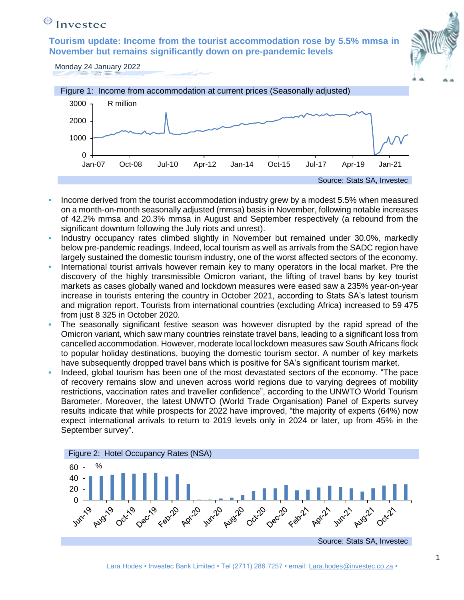# $\bigoplus$  Investec

**Tourism update: Income from the tourist accommodation rose by 5.5% mmsa in November but remains significantly down on pre-pandemic levels**



Monday 24 January 2022



- Income derived from the tourist accommodation industry grew by a modest 5.5% when measured on a month-on-month seasonally adjusted (mmsa) basis in November, following notable increases of 42.2% mmsa and 20.3% mmsa in August and September respectively (a rebound from the significant downturn following the July riots and unrest).
- Industry occupancy rates climbed slightly in November but remained under 30.0%, markedly below pre-pandemic readings. Indeed, local tourism as well as arrivals from the SADC region have largely sustained the domestic tourism industry, one of the worst affected sectors of the economy.
- International tourist arrivals however remain key to many operators in the local market. Pre the discovery of the highly transmissible Omicron variant, the lifting of travel bans by key tourist markets as cases globally waned and lockdown measures were eased saw a 235% year-on-year increase in tourists entering the country in October 2021, according to Stats SA's latest tourism and migration report. Tourists from international countries (excluding Africa) increased to 59 475 from just 8 325 in October 2020.
- The seasonally significant festive season was however disrupted by the rapid spread of the Omicron variant, which saw many countries reinstate travel bans, leading to a significant loss from cancelled accommodation. However, moderate local lockdown measures saw South Africans flock to popular holiday destinations, buoying the domestic tourism sector. A number of key markets have subsequently dropped travel bans which is positive for SA's significant tourism market.
- Indeed, global tourism has been one of the most devastated sectors of the economy. "The pace of recovery remains slow and uneven across world regions due to varying degrees of mobility restrictions, vaccination rates and traveller confidence", according to the UNWTO World Tourism Barometer. Moreover, the latest UNWTO (World Trade Organisation) Panel of Experts survey results indicate that while prospects for 2022 have improved, "the majority of experts (64%) now expect international arrivals to return to 2019 levels only in 2024 or later, up from 45% in the September survey".

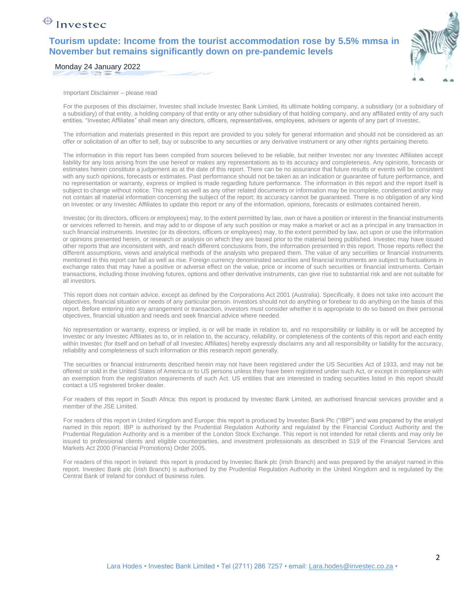### $\bigoplus$  Invested

**Tourism update: Income from the tourist accommodation rose by 5.5% mmsa in November but remains significantly down on pre-pandemic levels**



Monday 24 January 2022

Important Disclaimer – please read

For the purposes of this disclaimer, Investec shall include Investec Bank Limited, its ultimate holding company, a subsidiary (or a subsidiary of a subsidiary) of that entity, a holding company of that entity or any other subsidiary of that holding company, and any affiliated entity of any such entities. "Investec Affiliates" shall mean any directors, officers, representatives, employees, advisers or agents of any part of Investec.

The information and materials presented in this report are provided to you solely for general information and should not be considered as an offer or solicitation of an offer to sell, buy or subscribe to any securities or any derivative instrument or any other rights pertaining thereto.

The information in this report has been compiled from sources believed to be reliable, but neither Investec nor any Investec Affiliates accept liability for any loss arising from the use hereof or makes any representations as to its accuracy and completeness. Any opinions, forecasts or estimates herein constitute a judgement as at the date of this report. There can be no assurance that future results or events will be consistent with any such opinions, forecasts or estimates. Past performance should not be taken as an indication or guarantee of future performance, and no representation or warranty, express or implied is made regarding future performance. The information in this report and the report itself is subject to change without notice. This report as well as any other related documents or information may be incomplete, condensed and/or may not contain all material information concerning the subject of the report; its accuracy cannot be guaranteed. There is no obligation of any kind on Investec or any Investec Affiliates to update this report or any of the information, opinions, forecasts or estimates contained herein.

Investec (or its directors, officers or employees) may, to the extent permitted by law, own or have a position or interest in the financial instruments or services referred to herein, and may add to or dispose of any such position or may make a market or act as a principal in any transaction in such financial instruments. Investec (or its directors, officers or employees) may, to the extent permitted by law, act upon or use the information or opinions presented herein, or research or analysis on which they are based prior to the material being published. Investec may have issued other reports that are inconsistent with, and reach different conclusions from, the information presented in this report. Those reports reflect the different assumptions, views and analytical methods of the analysts who prepared them. The value of any securities or financial instruments mentioned in this report can fall as well as rise. Foreign currency denominated securities and financial instruments are subject to fluctuations in exchange rates that may have a positive or adverse effect on the value, price or income of such securities or financial instruments. Certain transactions, including those involving futures, options and other derivative instruments, can give rise to substantial risk and are not suitable for all investors.

This report does not contain advice, except as defined by the Corporations Act 2001 (Australia). Specifically, it does not take into account the objectives, financial situation or needs of any particular person. Investors should not do anything or forebear to do anything on the basis of this report. Before entering into any arrangement or transaction, investors must consider whether it is appropriate to do so based on their personal objectives, financial situation and needs and seek financial advice where needed.

No representation or warranty, express or implied, is or will be made in relation to, and no responsibility or liability is or will be accepted by Investec or any Investec Affiliates as to, or in relation to, the accuracy, reliability, or completeness of the contents of this report and each entity within Investec (for itself and on behalf of all Investec Affiliates) hereby expressly disclaims any and all responsibility or liability for the accuracy, reliability and completeness of such information or this research report generally.

The securities or financial instruments described herein may not have been registered under the US Securities Act of 1933, and may not be offered or sold in the United States of America or to US persons unless they have been registered under such Act, or except in compliance with an exemption from the registration requirements of such Act. US entities that are interested in trading securities listed in this report should contact a US registered broker dealer.

For readers of this report in South Africa: this report is produced by Investec Bank Limited, an authorised financial services provider and a member of the JSE Limited.

For readers of this report in United Kingdom and Europe: this report is produced by Investec Bank Plc ("IBP") and was prepared by the analyst named in this report. IBP is authorised by the Prudential Regulation Authority and regulated by the Financial Conduct Authority and the Prudential Regulation Authority and is a member of the London Stock Exchange. This report is not intended for retail clients and may only be issued to professional clients and eligible counterparties, and investment professionals as described in S19 of the Financial Services and Markets Act 2000 (Financial Promotions) Order 2005.

For readers of this report in Ireland: this report is produced by Investec Bank plc (Irish Branch) and was prepared by the analyst named in this report. Investec Bank plc (Irish Branch) is authorised by the Prudential Regulation Authority in the United Kingdom and is regulated by the Central Bank of Ireland for conduct of business rules.